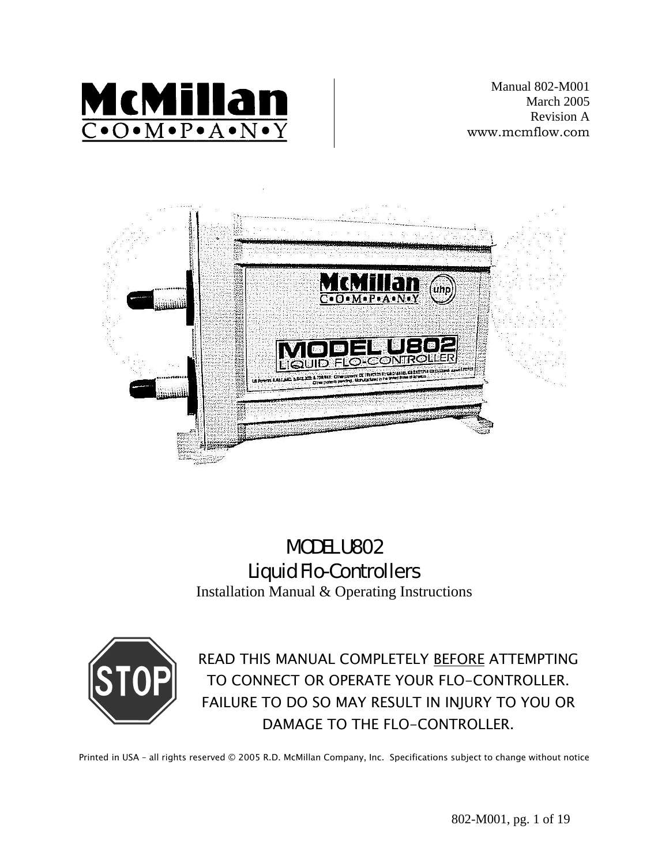

Manual 802-M001 March 2005 Revision A www.mcmflow.com



# MODEL U802 Liquid Flo-Controllers

Installation Manual & Operating Instructions



READ THIS MANUAL COMPLETELY BEFORE ATTEMPTING TO CONNECT OR OPERATE YOUR FLO-CONTROLLER. FAILURE TO DO SO MAY RESULT IN INJURY TO YOU OR DAMAGE TO THE FLO-CONTROLLER.

Printed in USA – all rights reserved © 2005 R.D. McMillan Company, Inc. Specifications subject to change without notice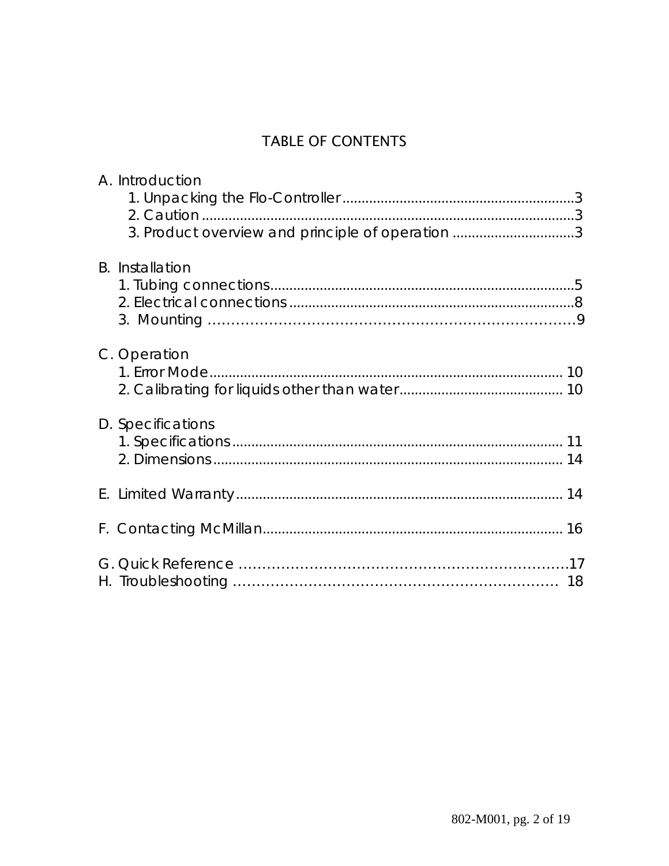## TABLE OF CONTENTS

| A. Introduction<br>3. Product overview and principle of operation 3 |  |
|---------------------------------------------------------------------|--|
| <b>B.</b> Installation                                              |  |
| C. Operation                                                        |  |
| D. Specifications                                                   |  |
|                                                                     |  |
|                                                                     |  |
|                                                                     |  |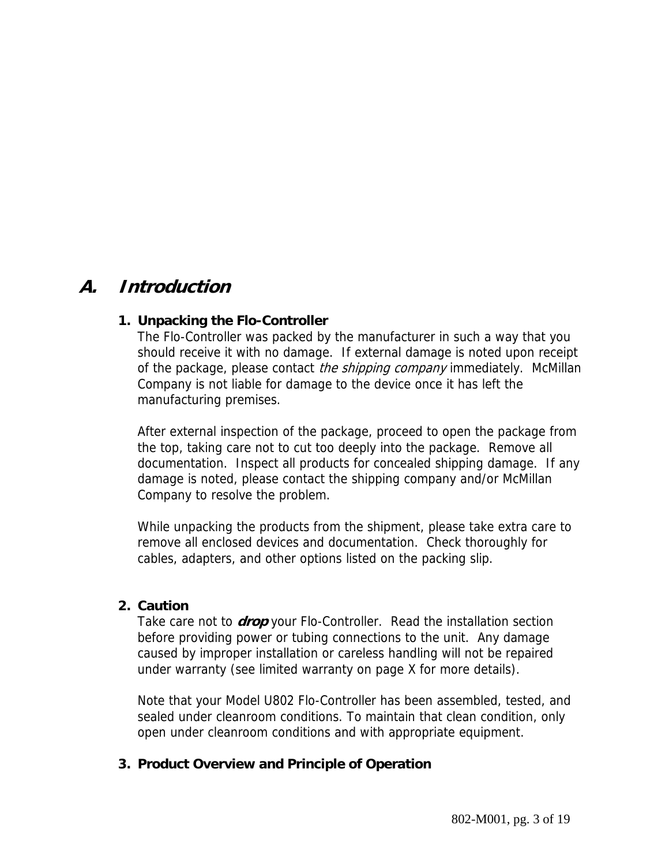## **A. Introduction**

### **1. Unpacking the Flo-Controller**

The Flo-Controller was packed by the manufacturer in such a way that you should receive it with no damage. If external damage is noted upon receipt of the package, please contact the shipping company immediately. McMillan Company is not liable for damage to the device once it has left the manufacturing premises.

After external inspection of the package, proceed to open the package from the top, taking care not to cut too deeply into the package. Remove all documentation. Inspect all products for concealed shipping damage. If any damage is noted, please contact the shipping company and/or McMillan Company to resolve the problem.

While unpacking the products from the shipment, please take extra care to remove all enclosed devices and documentation. Check thoroughly for cables, adapters, and other options listed on the packing slip.

#### **2. Caution**

Take care not to **drop** your Flo-Controller. Read the installation section before providing power or tubing connections to the unit. Any damage caused by improper installation or careless handling will not be repaired under warranty (see limited warranty on page X for more details).

Note that your Model U802 Flo-Controller has been assembled, tested, and sealed under cleanroom conditions. To maintain that clean condition, only open under cleanroom conditions and with appropriate equipment.

#### **3. Product Overview and Principle of Operation**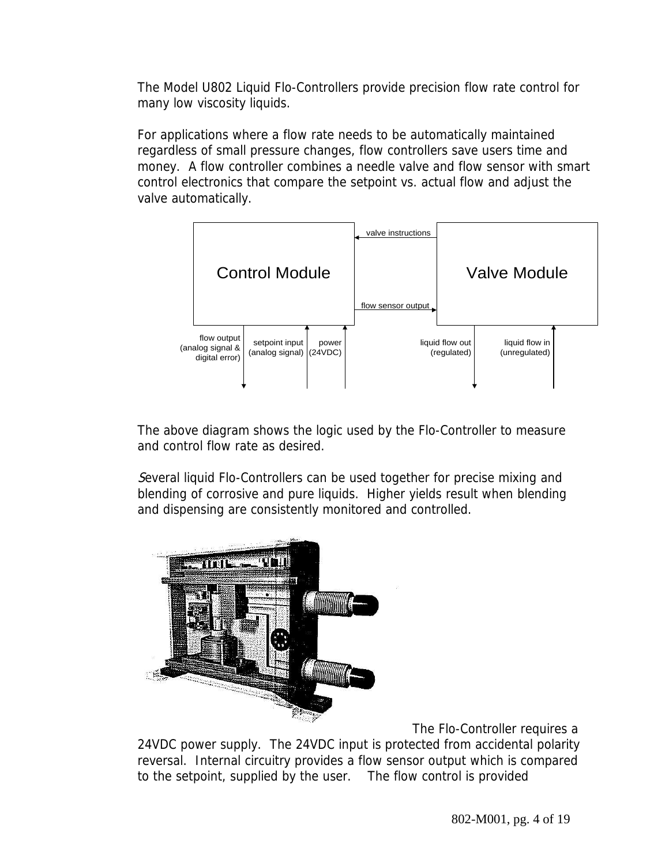The Model U802 Liquid Flo-Controllers provide precision flow rate control for many low viscosity liquids.

For applications where a flow rate needs to be automatically maintained regardless of small pressure changes, flow controllers save users time and money. A flow controller combines a needle valve and flow sensor with smart control electronics that compare the setpoint vs. actual flow and adjust the valve automatically.



The above diagram shows the logic used by the Flo-Controller to measure and control flow rate as desired.

Several liquid Flo-Controllers can be used together for precise mixing and blending of corrosive and pure liquids. Higher yields result when blending and dispensing are consistently monitored and controlled.



The Flo-Controller requires a

24VDC power supply. The 24VDC input is protected from accidental polarity reversal. Internal circuitry provides a flow sensor output which is compared to the setpoint, supplied by the user. The flow control is provided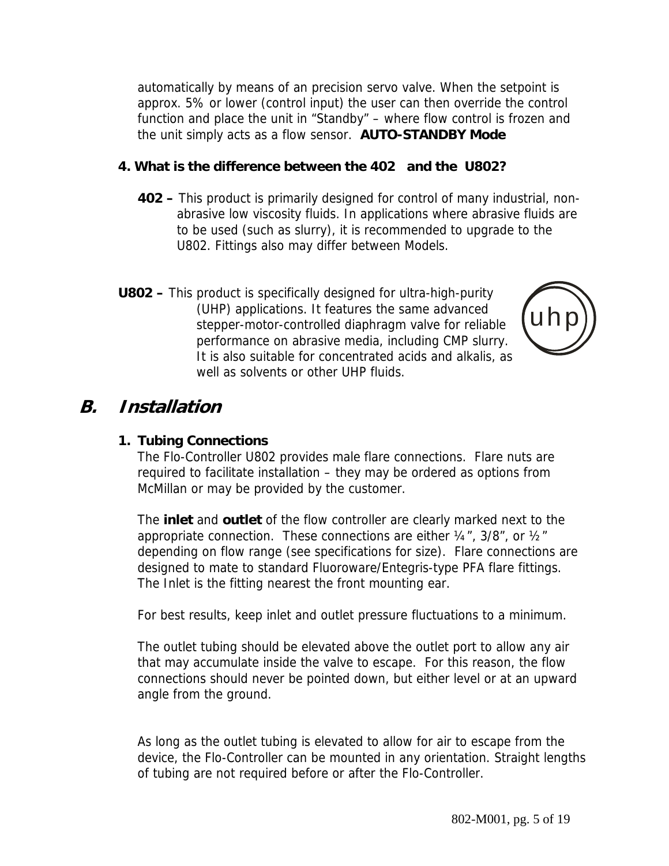automatically by means of an precision servo valve. When the setpoint is approx. 5% or lower (control input) the user can then override the control function and place the unit in "Standby" – where flow control is frozen and the unit simply acts as a flow sensor. **AUTO-STANDBY Mode**

### **4. What is the difference between the 402 and the U802?**

- **402** This product is primarily designed for control of many industrial, nonabrasive low viscosity fluids. In applications where abrasive fluids are to be used (such as slurry), it is recommended to upgrade to the U802. Fittings also may differ between Models.
- **U802** This product is specifically designed for ultra-high-purity (UHP) applications. It features the same advanced stepper-motor-controlled diaphragm valve for reliable performance on abrasive media, including CMP slurry. It is also suitable for concentrated acids and alkalis, as well as solvents or other UHP fluids.



## **B. Installation**

### **1. Tubing Connections**

The Flo-Controller U802 provides male flare connections. Flare nuts are required to facilitate installation – they may be ordered as options from McMillan or may be provided by the customer.

The **inlet** and **outlet** of the flow controller are clearly marked next to the appropriate connection. These connections are either  $\frac{1}{4}$ , 3/8", or  $\frac{1}{2}$ " depending on flow range (see specifications for size). Flare connections are designed to mate to standard Fluoroware/Entegris-type PFA flare fittings. The Inlet is the fitting nearest the front mounting ear.

For best results, keep inlet and outlet pressure fluctuations to a minimum.

The outlet tubing should be elevated above the outlet port to allow any air that may accumulate inside the valve to escape. For this reason, the flow connections should never be pointed down, but either level or at an upward angle from the ground.

As long as the outlet tubing is elevated to allow for air to escape from the device, the Flo-Controller can be mounted in any orientation. Straight lengths of tubing are not required before or after the Flo-Controller.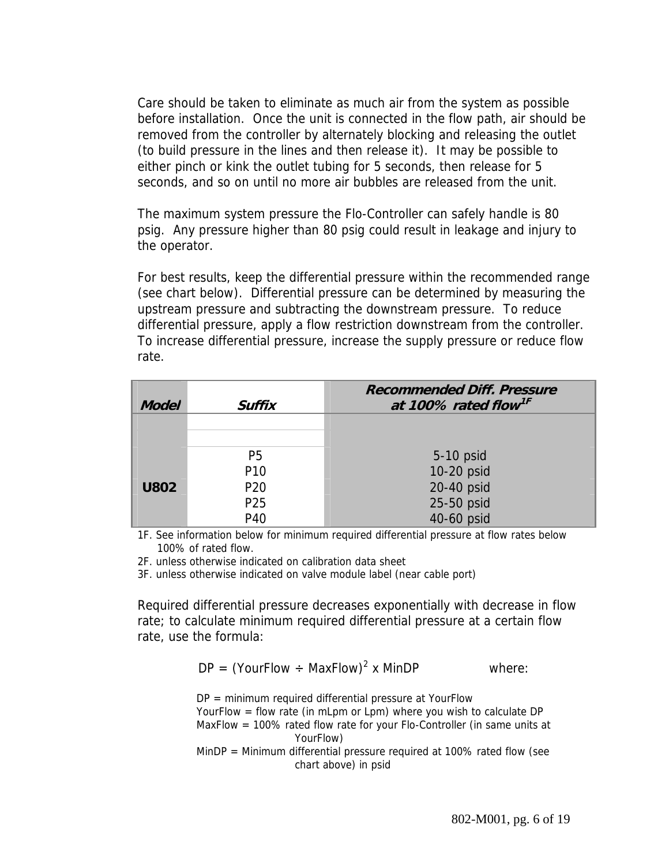Care should be taken to eliminate as much air from the system as possible before installation. Once the unit is connected in the flow path, air should be removed from the controller by alternately blocking and releasing the outlet (to build pressure in the lines and then release it). It may be possible to either pinch or kink the outlet tubing for 5 seconds, then release for 5 seconds, and so on until no more air bubbles are released from the unit.

The maximum system pressure the Flo-Controller can safely handle is 80 psig. Any pressure higher than 80 psig could result in leakage and injury to the operator.

For best results, keep the differential pressure within the recommended range (see chart below). Differential pressure can be determined by measuring the upstream pressure and subtracting the downstream pressure. To reduce differential pressure, apply a flow restriction downstream from the controller. To increase differential pressure, increase the supply pressure or reduce flow rate.

| <b>Model</b> | Suffix          | <b>Recommended Diff. Pressure</b><br>at 100% rated flow <sup>1F</sup> |
|--------------|-----------------|-----------------------------------------------------------------------|
|              |                 |                                                                       |
|              | P <sub>5</sub>  | 5-10 psid                                                             |
|              | P <sub>10</sub> | 10-20 psid                                                            |
| <b>U802</b>  | P <sub>20</sub> | 20-40 psid                                                            |
|              | P <sub>25</sub> | 25-50 psid                                                            |
|              | P40             | 40-60 psid                                                            |

1F. See information below for minimum required differential pressure at flow rates below 100% of rated flow.

2F. unless otherwise indicated on calibration data sheet

3F. unless otherwise indicated on valve module label (near cable port)

Required differential pressure decreases exponentially with decrease in flow rate; to calculate minimum required differential pressure at a certain flow rate, use the formula:

$$
DP = (YourFlow \div MaxFlow)^2 \times MinDP
$$
 where:

DP = minimum required differential pressure at YourFlow YourFlow = flow rate (in mLpm or Lpm) where you wish to calculate DP MaxFlow = 100% rated flow rate for your Flo-Controller (in same units at YourFlow)

MinDP = Minimum differential pressure required at 100% rated flow (see chart above) in psid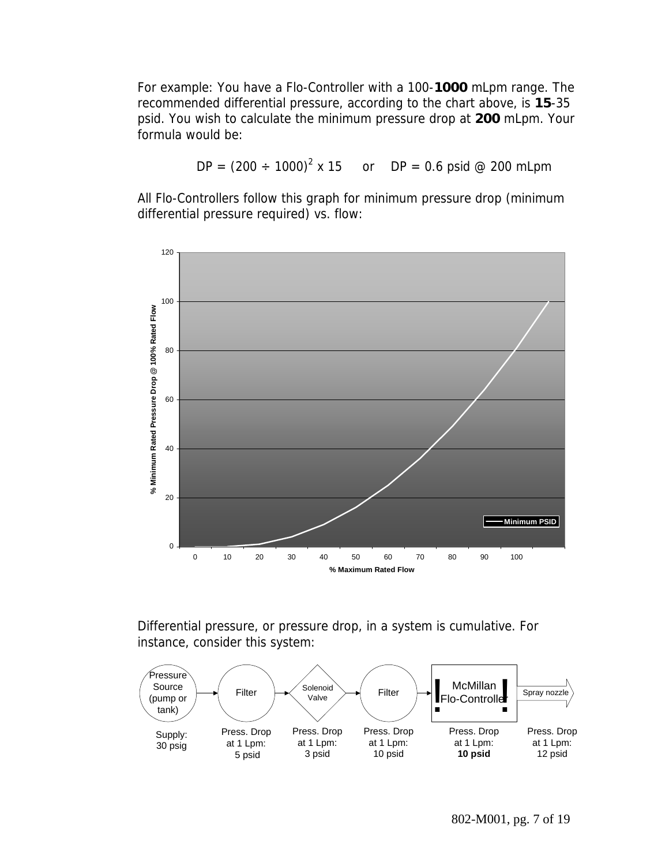For example: You have a Flo-Controller with a 100-**1000** mLpm range. The recommended differential pressure, according to the chart above, is **15**-35 psid. You wish to calculate the minimum pressure drop at **200** mLpm. Your formula would be:

$$
DP = (200 \div 1000)^2 \times 15
$$
 or  $DP = 0.6$  psid @ 200 mLpm

All Flo-Controllers follow this graph for minimum pressure drop (minimum differential pressure required) vs. flow:



Differential pressure, or pressure drop, in a system is cumulative. For instance, consider this system:

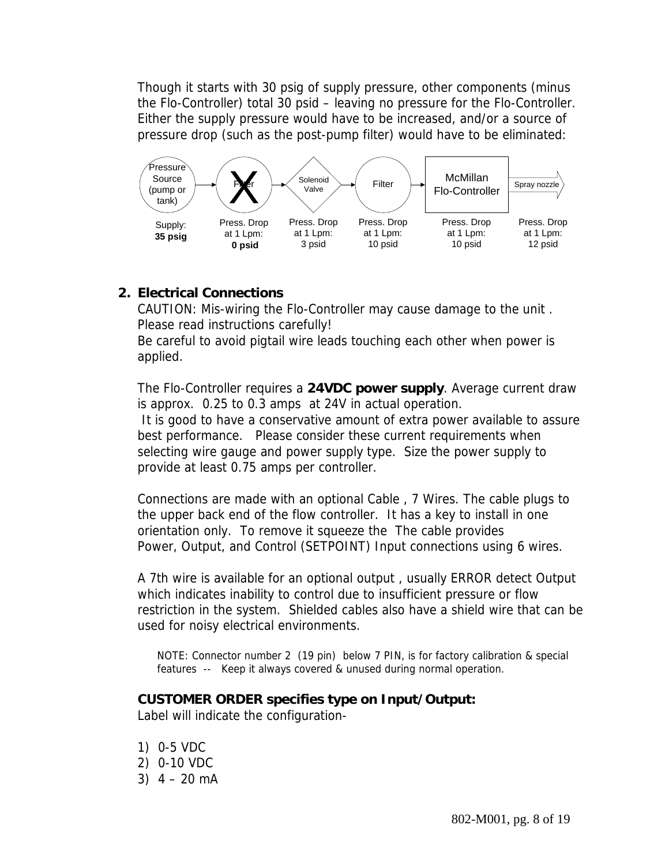Though it starts with 30 psig of supply pressure, other components (minus the Flo-Controller) total 30 psid – leaving no pressure for the Flo-Controller. Either the supply pressure would have to be increased, and/or a source of pressure drop (such as the post-pump filter) would have to be eliminated:



### **2. Electrical Connections**

CAUTION: Mis-wiring the Flo-Controller may cause damage to the unit . Please read instructions carefully!

Be careful to avoid pigtail wire leads touching each other when power is applied.

The Flo-Controller requires a **24VDC power supply**. Average current draw is approx. 0.25 to 0.3 amps at 24V in actual operation.

 It is good to have a conservative amount of extra power available to assure best performance. Please consider these current requirements when selecting wire gauge and power supply type. Size the power supply to provide at least 0.75 amps per controller.

Connections are made with an optional Cable , 7 Wires. The cable plugs to the upper back end of the flow controller. It has a key to install in one orientation only. To remove it squeeze the The cable provides Power, Output, and Control (SETPOINT) Input connections using 6 wires.

A 7th wire is available for an optional output , usually ERROR detect Output which indicates inability to control due to insufficient pressure or flow restriction in the system. Shielded cables also have a shield wire that can be used for noisy electrical environments.

NOTE: Connector number 2 (19 pin) below 7 PIN, is for factory calibration & special features -- Keep it always covered & unused during normal operation.

### **CUSTOMER ORDER specifies type on Input/Output:**

Label will indicate the configuration-

- 1) 0-5 VDC
- 2) 0-10 VDC
- $3)$  4 20 mA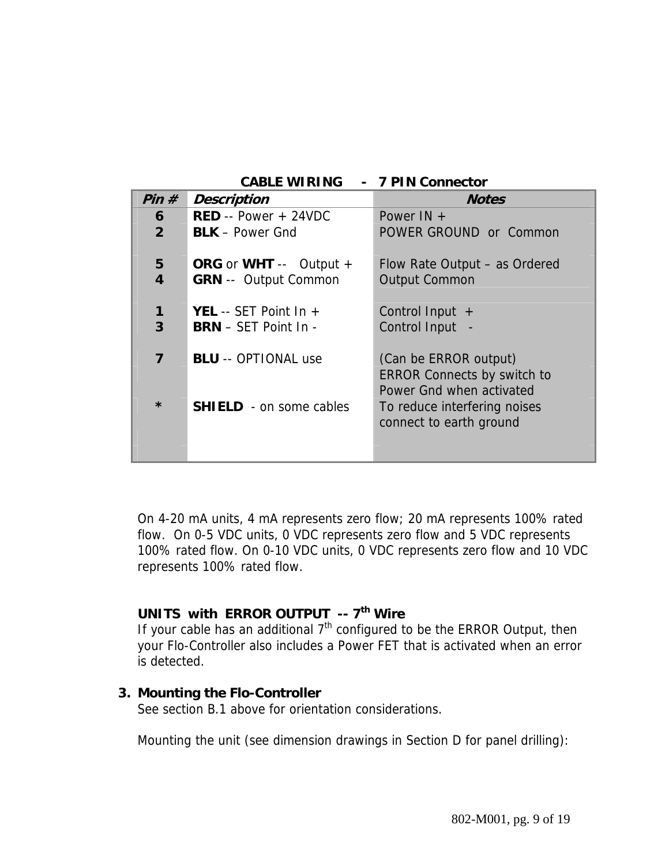|                | <b>CABLE WIRING - 7 PIN Connector</b>                                   |                                                                                         |
|----------------|-------------------------------------------------------------------------|-----------------------------------------------------------------------------------------|
| Pin#           | <b>Description</b>                                                      | <b>Notes</b>                                                                            |
| 6              | $RED - Power + 24VDC$                                                   | Power $IN +$                                                                            |
| $\overline{2}$ | <b>BLK</b> – Power Gnd                                                  | POWER GROUND or Common                                                                  |
| 5<br>4         | <b>ORG</b> or <b>WHT</b> $--$ Output $+$<br><b>GRN</b> -- Output Common | Flow Rate Output – as Ordered<br><b>Output Common</b>                                   |
| 1<br>3         | <b>YEL</b> -- SET Point In $+$<br><b>BRN</b> – SET Point In -           | Control Input $+$<br>Control Input -                                                    |
| 7              | <b>BLU</b> -- OPTIONAL use                                              | (Can be ERROR output)<br><b>ERROR Connects by switch to</b><br>Power Gnd when activated |
| $\star$        | <b>SHIELD</b> - on some cables                                          | To reduce interfering noises<br>connect to earth ground                                 |

On 4-20 mA units, 4 mA represents zero flow; 20 mA represents 100% rated flow. On 0-5 VDC units, 0 VDC represents zero flow and 5 VDC represents 100% rated flow. On 0-10 VDC units, 0 VDC represents zero flow and 10 VDC represents 100% rated flow.

## **UNITS with ERROR OUTPUT -- 7<sup>th</sup> Wire**

If your cable has an additional  $7<sup>th</sup>$  configured to be the ERROR Output, then your Flo-Controller also includes a Power FET that is activated when an error is detected.

#### **3. Mounting the Flo-Controller**

See section B.1 above for orientation considerations.

Mounting the unit (see dimension drawings in Section D for panel drilling):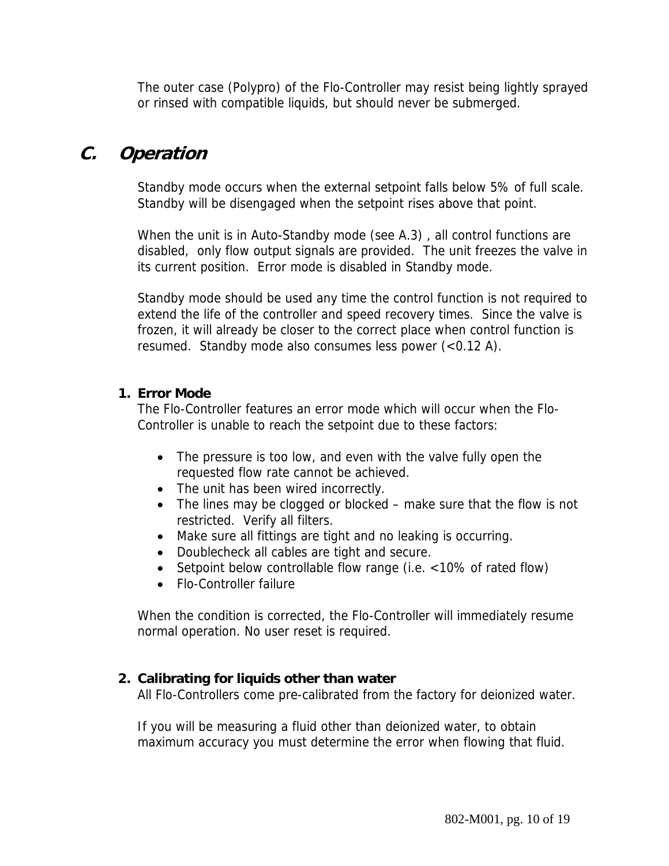The outer case (Polypro) of the Flo-Controller may resist being lightly sprayed or rinsed with compatible liquids, but should never be submerged.

## **C. Operation**

Standby mode occurs when the external setpoint falls below 5% of full scale. Standby will be disengaged when the setpoint rises above that point.

When the unit is in Auto-Standby mode (see A.3) , all control functions are disabled, only flow output signals are provided. The unit freezes the valve in its current position. Error mode is disabled in Standby mode.

Standby mode should be used any time the control function is not required to extend the life of the controller and speed recovery times. Since the valve is frozen, it will already be closer to the correct place when control function is resumed. Standby mode also consumes less power (<0.12 A).

### **1. Error Mode**

The Flo-Controller features an error mode which will occur when the Flo-Controller is unable to reach the setpoint due to these factors:

- The pressure is too low, and even with the valve fully open the requested flow rate cannot be achieved.
- The unit has been wired incorrectly.
- The lines may be clogged or blocked make sure that the flow is not restricted. Verify all filters.
- Make sure all fittings are tight and no leaking is occurring.
- Doublecheck all cables are tight and secure.
- Setpoint below controllable flow range (i.e. <10% of rated flow)
- Flo-Controller failure

When the condition is corrected, the Flo-Controller will immediately resume normal operation. No user reset is required.

### **2. Calibrating for liquids other than water**

All Flo-Controllers come pre-calibrated from the factory for deionized water.

If you will be measuring a fluid other than deionized water, to obtain maximum accuracy you must determine the error when flowing that fluid.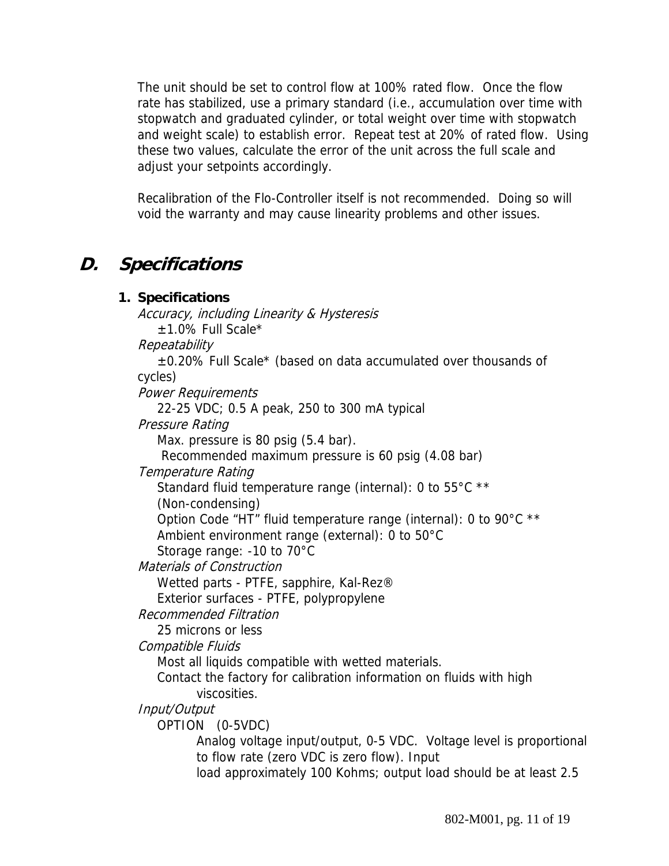The unit should be set to control flow at 100% rated flow. Once the flow rate has stabilized, use a primary standard (i.e., accumulation over time with stopwatch and graduated cylinder, or total weight over time with stopwatch and weight scale) to establish error. Repeat test at 20% of rated flow. Using these two values, calculate the error of the unit across the full scale and adjust your setpoints accordingly.

Recalibration of the Flo-Controller itself is not recommended. Doing so will void the warranty and may cause linearity problems and other issues.

## **D. Specifications**

### **1. Specifications**  Accuracy, including Linearity & Hysteresis ±1.0% Full Scale\* Repeatability ±0.20% Full Scale\* (based on data accumulated over thousands of cycles) Power Requirements 22-25 VDC; 0.5 A peak, 250 to 300 mA typical Pressure Rating Max. pressure is 80 psig (5.4 bar). Recommended maximum pressure is 60 psig (4.08 bar) Temperature Rating Standard fluid temperature range (internal): 0 to 55°C \*\* (Non-condensing) Option Code "HT" fluid temperature range (internal): 0 to 90°C \*\* Ambient environment range (external): 0 to 50°C Storage range: -10 to 70°C Materials of Construction Wetted parts - PTFE, sapphire, Kal-Rez® Exterior surfaces - PTFE, polypropylene Recommended Filtration 25 microns or less Compatible Fluids Most all liquids compatible with wetted materials. Contact the factory for calibration information on fluids with high viscosities. Input/Output OPTION (0-5VDC) Analog voltage input/output, 0-5 VDC. Voltage level is proportional to flow rate (zero VDC is zero flow). Input load approximately 100 Kohms; output load should be at least 2.5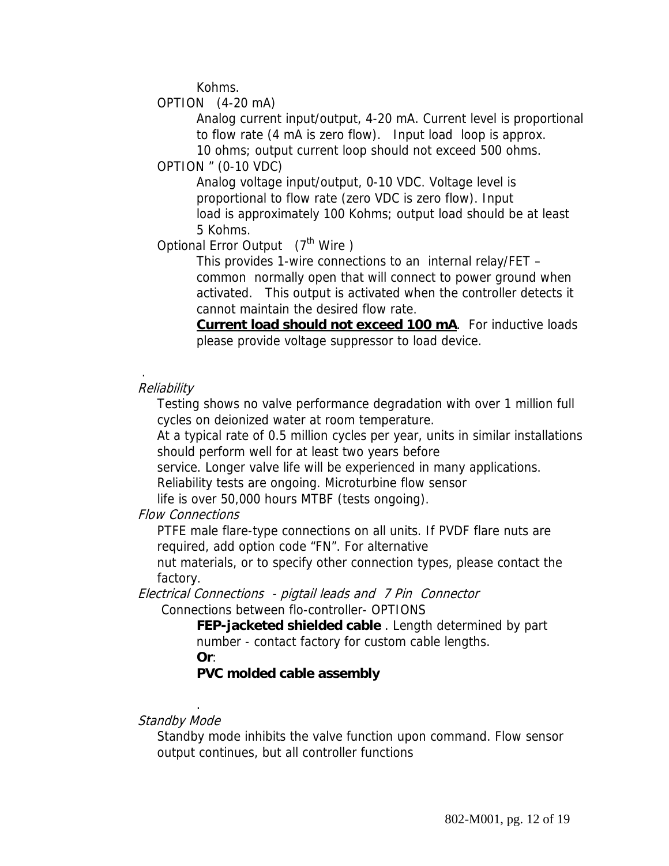Kohms.

OPTION (4-20 mA)

 Analog current input/output, 4-20 mA. Current level is proportional to flow rate (4 mA is zero flow). Input load loop is approx.

10 ohms; output current loop should not exceed 500 ohms.

OPTION " (0-10 VDC)

Analog voltage input/output, 0-10 VDC. Voltage level is proportional to flow rate (zero VDC is zero flow). Input load is approximately 100 Kohms; output load should be at least 5 Kohms.

Optional Error Output (7<sup>th</sup> Wire)

This provides 1-wire connections to an internal relay/FET – common normally open that will connect to power ground when activated. This output is activated when the controller detects it cannot maintain the desired flow rate.

**Current load should not exceed 100 mA**. For inductive loads please provide voltage suppressor to load device.

### **Reliability**

.

 Testing shows no valve performance degradation with over 1 million full cycles on deionized water at room temperature.

 At a typical rate of 0.5 million cycles per year, units in similar installations should perform well for at least two years before

service. Longer valve life will be experienced in many applications.

Reliability tests are ongoing. Microturbine flow sensor

life is over 50,000 hours MTBF (tests ongoing).

#### Flow Connections

PTFE male flare-type connections on all units. If PVDF flare nuts are required, add option code "FN". For alternative

nut materials, or to specify other connection types, please contact the factory.

Electrical Connections - pigtail leads and 7 Pin Connector Connections between flo-controller- OPTIONS

> **FEP-jacketed shielded cable** . Length determined by part number - contact factory for custom cable lengths.

**Or**:

.

#### **PVC molded cable assembly**

#### Standby Mode

 Standby mode inhibits the valve function upon command. Flow sensor output continues, but all controller functions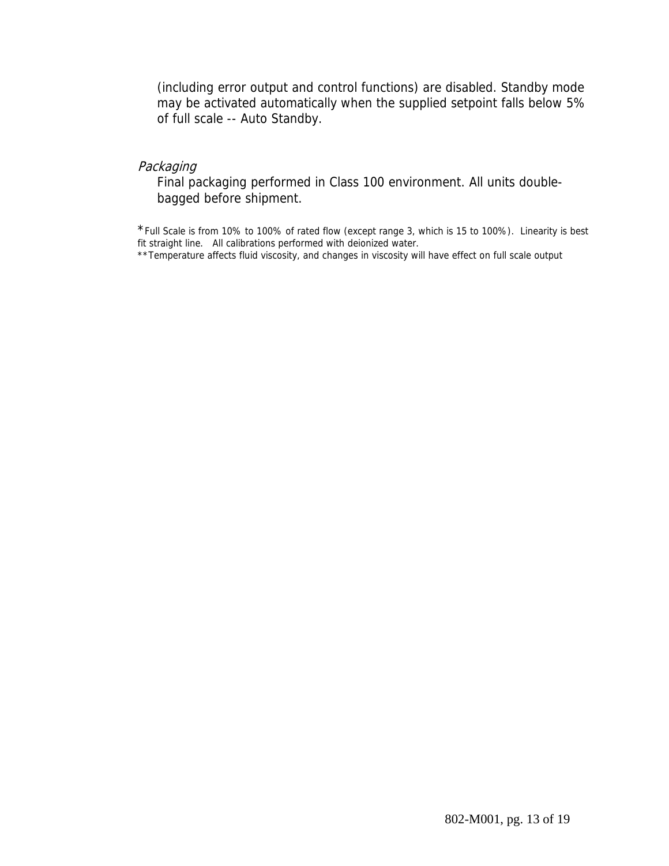(including error output and control functions) are disabled. Standby mode may be activated automatically when the supplied setpoint falls below 5% of full scale -- Auto Standby.

#### Packaging

 Final packaging performed in Class 100 environment. All units doublebagged before shipment.

\*Full Scale is from 10% to 100% of rated flow (except range 3, which is 15 to 100%). Linearity is best fit straight line. All calibrations performed with deionized water.

\*\*Temperature affects fluid viscosity, and changes in viscosity will have effect on full scale output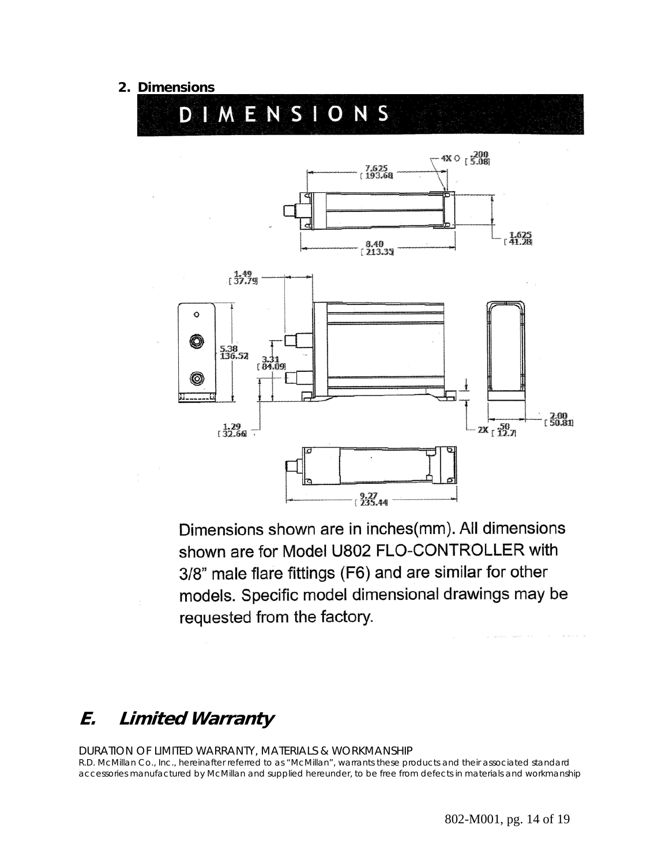#### **2. Dimensions**



Dimensions shown are in inches(mm). All dimensions shown are for Model U802 FLO-CONTROLLER with 3/8" male flare fittings (F6) and are similar for other models. Specific model dimensional drawings may be requested from the factory.

## **E. Limited Warranty**

#### DURATION OF LIMITED WARRANTY, MATERIALS & WORKMANSHIP

R.D. McMillan Co., Inc., hereinafter referred to as "McMillan", warrants these products and their associated standard accessories manufactured by McMillan and supplied hereunder, to be free from defects in materials and workmanship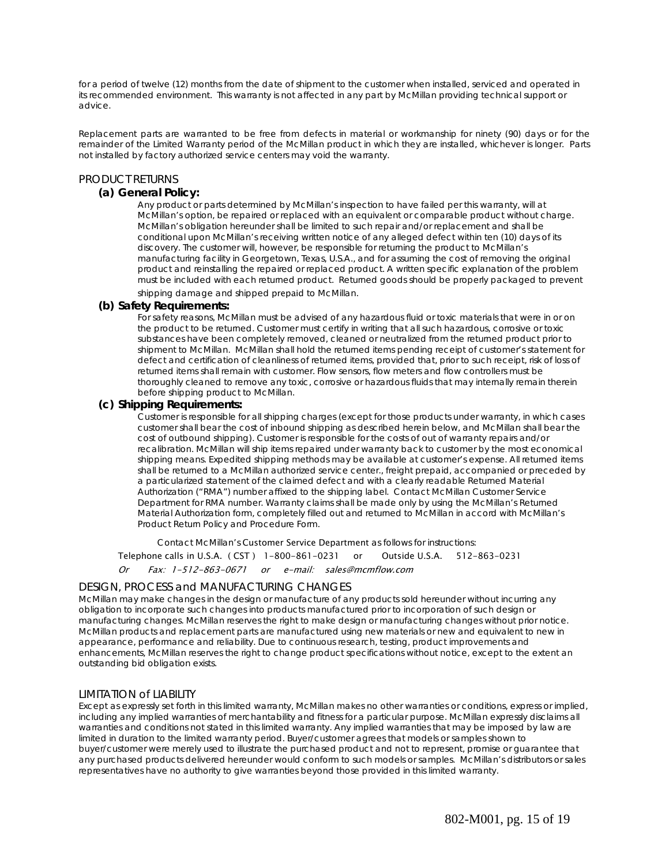for a period of twelve (12) months from the date of shipment to the customer when installed, serviced and operated in its recommended environment. This warranty is not affected in any part by McMillan providing technical support or advice.

Replacement parts are warranted to be free from defects in material or workmanship for ninety (90) days or for the remainder of the Limited Warranty period of the McMillan product in which they are installed, whichever is longer. Parts not installed by factory authorized service centers may void the warranty.

#### PRODUCT RETURNS

#### **(a) General Policy:**

Any product or parts determined by McMillan's inspection to have failed per this warranty, will at McMillan's option, be repaired or replaced with an equivalent or comparable product without charge. McMillan's obligation hereunder shall be limited to such repair and/or replacement and shall be conditional upon McMillan's receiving written notice of any alleged defect within ten (10) days of its discovery. The customer will, however, be responsible for returning the product to McMillan's manufacturing facility in Georgetown, Texas, U.S.A., and for assuming the cost of removing the original product and reinstalling the repaired or replaced product. A written specific explanation of the problem must be included with each returned product. Returned goods should be properly packaged to prevent

shipping damage and shipped prepaid to McMillan.

#### **(b) Safety Requirements:**

For safety reasons, McMillan must be advised of any hazardous fluid or toxic materials that were in or on the product to be returned. Customer must certify in writing that all such hazardous, corrosive or toxic substances have been completely removed, cleaned or neutralized from the returned product prior to shipment to McMillan. McMillan shall hold the returned items pending receipt of customer's statement for defect and certification of cleanliness of returned items, provided that, prior to such receipt, risk of loss of returned items shall remain with customer. Flow sensors, flow meters and flow controllers must be thoroughly cleaned to remove any toxic, corrosive or hazardous fluids that may internally remain therein before shipping product to McMillan.

#### **(c) Shipping Requirements:**

Customer is responsible for all shipping charges (except for those products under warranty, in which cases customer shall bear the cost of inbound shipping as described herein below, and McMillan shall bear the cost of outbound shipping). Customer is responsible for the costs of out of warranty repairs and/or recalibration. McMillan will ship items repaired under warranty back to customer by the most economical shipping means. Expedited shipping methods may be available at customer's expense. All returned items shall be returned to a McMillan authorized service center., freight prepaid, accompanied or preceded by a particularized statement of the claimed defect and with a clearly readable Returned Material Authorization ("RMA") number affixed to the shipping label. Contact McMillan Customer Service Department for RMA number. Warranty claims shall be made only by using the McMillan's Returned Material Authorization form, completely filled out and returned to McMillan in accord with McMillan's Product Return Policy and Procedure Form.

Contact McMillan's Customer Service Department as follows for instructions:

Telephone calls in U.S.A. ( CST ) 1-800-861-0231 or Outside U.S.A. 512-863-0231

Or Fax: 1-512-863-0671 or e-mail: sales@mcmflow.com

#### DESIGN, PROCESS and MANUFACTURING CHANGES

McMillan may make changes in the design or manufacture of any products sold hereunder without incurring any obligation to incorporate such changes into products manufactured prior to incorporation of such design or manufacturing changes. McMillan reserves the right to make design or manufacturing changes without prior notice. McMillan products and replacement parts are manufactured using new materials or new and equivalent to new in appearance, performance and reliability. Due to continuous research, testing, product improvements and enhancements, McMillan reserves the right to change product specifications without notice, except to the extent an outstanding bid obligation exists.

#### LIMITATION of LIABILITY

Except as expressly set forth in this limited warranty, McMillan makes no other warranties or conditions, express or implied, including any implied warranties of merchantability and fitness for a particular purpose. McMillan expressly disclaims all warranties and conditions not stated in this limited warranty. Any implied warranties that may be imposed by law are limited in duration to the limited warranty period. Buyer/customer agrees that models or samples shown to buyer/customer were merely used to illustrate the purchased product and not to represent, promise or guarantee that any purchased products delivered hereunder would conform to such models or samples. McMillan's distributors or sales representatives have no authority to give warranties beyond those provided in this limited warranty.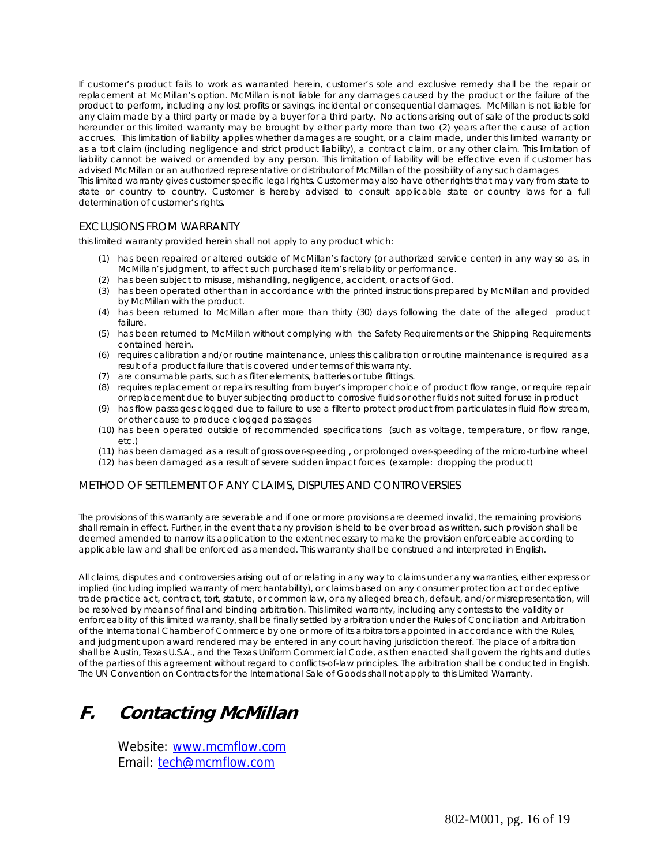If customer's product fails to work as warranted herein, customer's sole and exclusive remedy shall be the repair or replacement at McMillan's option. McMillan is not liable for any damages caused by the product or the failure of the product to perform, including any lost profits or savings, incidental or consequential damages. McMillan is not liable for any claim made by a third party or made by a buyer for a third party. No actions arising out of sale of the products sold hereunder or this limited warranty may be brought by either party more than two (2) years after the cause of action accrues. This limitation of liability applies whether damages are sought, or a claim made, under this limited warranty or as a tort claim (including negligence and strict product liability), a contract claim, or any other claim. This limitation of liability cannot be waived or amended by any person. This limitation of liability will be effective even if customer has advised McMillan or an authorized representative or distributor of McMillan of the possibility of any such damages This limited warranty gives customer specific legal rights. Customer may also have other rights that may vary from state to

state or country to country. Customer is hereby advised to consult applicable state or country laws for a full determination of customer's rights.

#### EXCLUSIONS FROM WARRANTY

this limited warranty provided herein shall not apply to any product which:

- (1) has been repaired or altered outside of McMillan's factory (or authorized service center) in any way so as, in McMillan's judgment, to affect such purchased item's reliability or performance.
- (2) has been subject to misuse, mishandling, negligence, accident, or acts of God.
- (3) has been operated other than in accordance with the printed instructions prepared by McMillan and provided by McMillan with the product.
- (4) has been returned to McMillan after more than thirty (30) days following the date of the alleged product failure.
- (5) has been returned to McMillan without complying with the Safety Requirements or the Shipping Requirements contained herein.
- (6) requires calibration and/or routine maintenance, unless this calibration or routine maintenance is required as a result of a product failure that is covered under terms of this warranty.
- (7) are consumable parts, such as filter elements, batteries or tube fittings.
- (8) requires replacement or repairs resulting from buyer's improper choice of product flow range, or require repair or replacement due to buyer subjecting product to corrosive fluids or other fluids not suited for use in product
- (9) has flow passages clogged due to failure to use a filter to protect product from particulates in fluid flow stream, or other cause to produce clogged passages
- (10) has been operated outside of recommended specifications (such as voltage, temperature, or flow range, etc.)
- (11) has been damaged as a result of gross over-speeding , or prolonged over-speeding of the micro-turbine wheel
- (12) has been damaged as a result of severe sudden impact forces (example: dropping the product)

#### METHOD OF SETTLEMENT OF ANY CLAIMS, DISPUTES AND CONTROVERSIES

The provisions of this warranty are severable and if one or more provisions are deemed invalid, the remaining provisions shall remain in effect. Further, in the event that any provision is held to be over broad as written, such provision shall be deemed amended to narrow its application to the extent necessary to make the provision enforceable according to applicable law and shall be enforced as amended. This warranty shall be construed and interpreted in English.

All claims, disputes and controversies arising out of or relating in any way to claims under any warranties, either express or implied (including implied warranty of merchantability), or claims based on any consumer protection act or deceptive trade practice act, contract, tort, statute, or common law, or any alleged breach, default, and/or misrepresentation, will be resolved by means of final and binding arbitration. This limited warranty, including any contests to the validity or enforceability of this limited warranty, shall be finally settled by arbitration under the Rules of Conciliation and Arbitration of the International Chamber of Commerce by one or more of its arbitrators appointed in accordance with the Rules, and judgment upon award rendered may be entered in any court having jurisdiction thereof. The place of arbitration shall be Austin, Texas U.S.A., and the Texas Uniform Commercial Code, as then enacted shall govern the rights and duties of the parties of this agreement without regard to conflicts-of-law principles. The arbitration shall be conducted in English. The UN Convention on Contracts for the International Sale of Goods shall not apply to this Limited Warranty.

## **F. Contacting McMillan**

Website: www.mcmflow.com Email: tech@mcmflow.com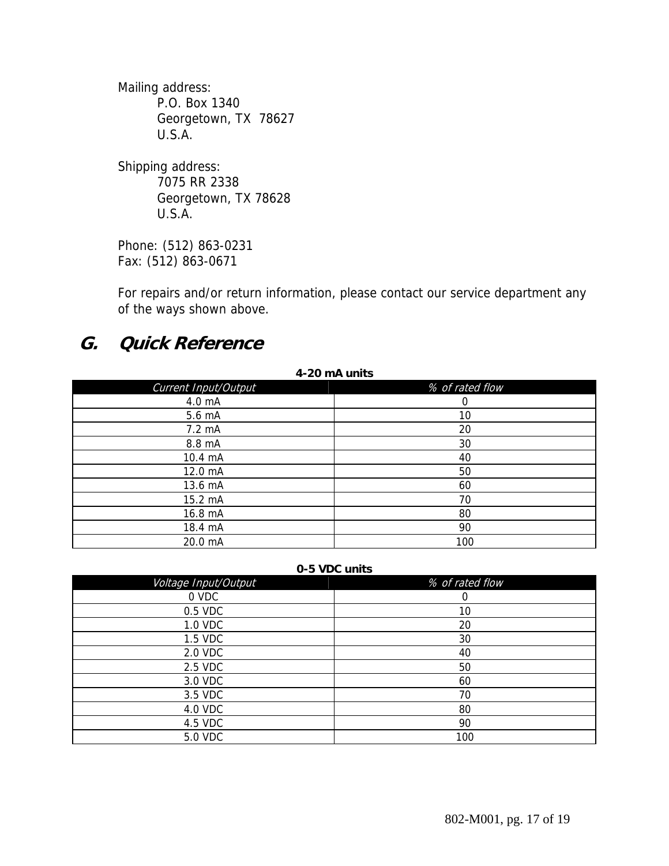Mailing address: P.O. Box 1340 Georgetown, TX 78627 U.S.A.

Shipping address: 7075 RR 2338 Georgetown, TX 78628 U.S.A.

Phone: (512) 863-0231 Fax: (512) 863-0671

For repairs and/or return information, please contact our service department any of the ways shown above.

## **G. Quick Reference**

| 4-20 mA units        |                 |  |
|----------------------|-----------------|--|
| Current Input/Output | % of rated flow |  |
| 4.0 mA               | 0               |  |
| 5.6 mA               | 10              |  |
| 7.2 mA               | 20              |  |
| 8.8 mA               | 30              |  |
| 10.4 mA              | 40              |  |
| 12.0 mA              | 50              |  |
| 13.6 mA              | 60              |  |
| 15.2 mA              | 70              |  |
| 16.8 mA              | 80              |  |
| 18.4 mA              | 90              |  |
| 20.0 mA              | 100             |  |

# **0-5 VDC units**

| $\sim$ $\sim$ $\sim$ $\sim$ $\sim$ $\sim$ |                 |  |
|-------------------------------------------|-----------------|--|
| Voltage Input/Output                      | % of rated flow |  |
| 0 VDC                                     |                 |  |
| 0.5 VDC                                   | 10              |  |
| 1.0 VDC                                   | 20              |  |
| 1.5 VDC                                   | 30              |  |
| 2.0 VDC                                   | 40              |  |
| 2.5 VDC                                   | 50              |  |
| 3.0 VDC                                   | 60              |  |
| 3.5 VDC                                   | 70              |  |
| 4.0 VDC                                   | 80              |  |
| 4.5 VDC                                   | 90              |  |
| 5.0 VDC                                   | 100             |  |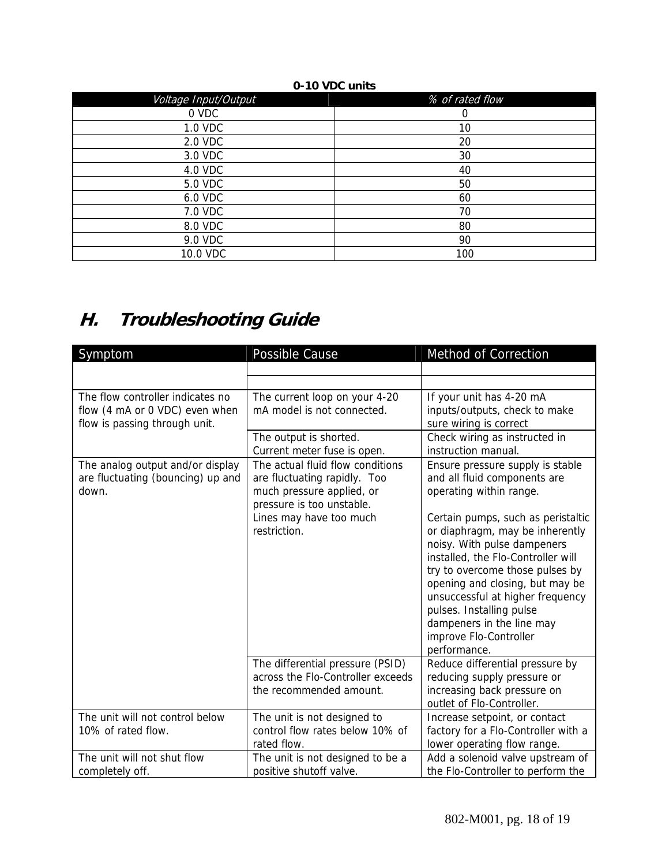#### **0-10 VDC units**

| Voltage Input/Output | % of rated flow |
|----------------------|-----------------|
| 0 VDC                | 0               |
| 1.0 VDC              | 10              |
| 2.0 VDC              | 20              |
| 3.0 VDC              | 30              |
| 4.0 VDC              | 40              |
| 5.0 VDC              | 50              |
| 6.0 VDC              | 60              |
| 7.0 VDC              | 70              |
| 8.0 VDC              | 80              |
| 9.0 VDC              | 90              |
| 10.0 VDC             | 100             |

# **H. Troubleshooting Guide**

| Symptom                                                                                             | Possible Cause                                                                                                                                                        | Method of Correction                                                                                                                                                                                                                                                                                                                                                                                                                                   |
|-----------------------------------------------------------------------------------------------------|-----------------------------------------------------------------------------------------------------------------------------------------------------------------------|--------------------------------------------------------------------------------------------------------------------------------------------------------------------------------------------------------------------------------------------------------------------------------------------------------------------------------------------------------------------------------------------------------------------------------------------------------|
|                                                                                                     |                                                                                                                                                                       |                                                                                                                                                                                                                                                                                                                                                                                                                                                        |
|                                                                                                     |                                                                                                                                                                       |                                                                                                                                                                                                                                                                                                                                                                                                                                                        |
| The flow controller indicates no<br>flow (4 mA or 0 VDC) even when<br>flow is passing through unit. | The current loop on your 4-20<br>mA model is not connected.                                                                                                           | If your unit has 4-20 mA<br>inputs/outputs, check to make<br>sure wiring is correct                                                                                                                                                                                                                                                                                                                                                                    |
|                                                                                                     | The output is shorted.<br>Current meter fuse is open.                                                                                                                 | Check wiring as instructed in<br>instruction manual.                                                                                                                                                                                                                                                                                                                                                                                                   |
| The analog output and/or display<br>are fluctuating (bouncing) up and<br>down.                      | The actual fluid flow conditions<br>are fluctuating rapidly. Too<br>much pressure applied, or<br>pressure is too unstable.<br>Lines may have too much<br>restriction. | Ensure pressure supply is stable<br>and all fluid components are<br>operating within range.<br>Certain pumps, such as peristaltic<br>or diaphragm, may be inherently<br>noisy. With pulse dampeners<br>installed, the Flo-Controller will<br>try to overcome those pulses by<br>opening and closing, but may be<br>unsuccessful at higher frequency<br>pulses. Installing pulse<br>dampeners in the line may<br>improve Flo-Controller<br>performance. |
|                                                                                                     | The differential pressure (PSID)<br>across the Flo-Controller exceeds<br>the recommended amount.                                                                      | Reduce differential pressure by<br>reducing supply pressure or<br>increasing back pressure on<br>outlet of Flo-Controller.                                                                                                                                                                                                                                                                                                                             |
| The unit will not control below<br>10% of rated flow.                                               | The unit is not designed to<br>control flow rates below 10% of<br>rated flow.                                                                                         | Increase setpoint, or contact<br>factory for a Flo-Controller with a<br>lower operating flow range.                                                                                                                                                                                                                                                                                                                                                    |
| The unit will not shut flow<br>completely off.                                                      | The unit is not designed to be a<br>positive shutoff valve.                                                                                                           | Add a solenoid valve upstream of<br>the Flo-Controller to perform the                                                                                                                                                                                                                                                                                                                                                                                  |